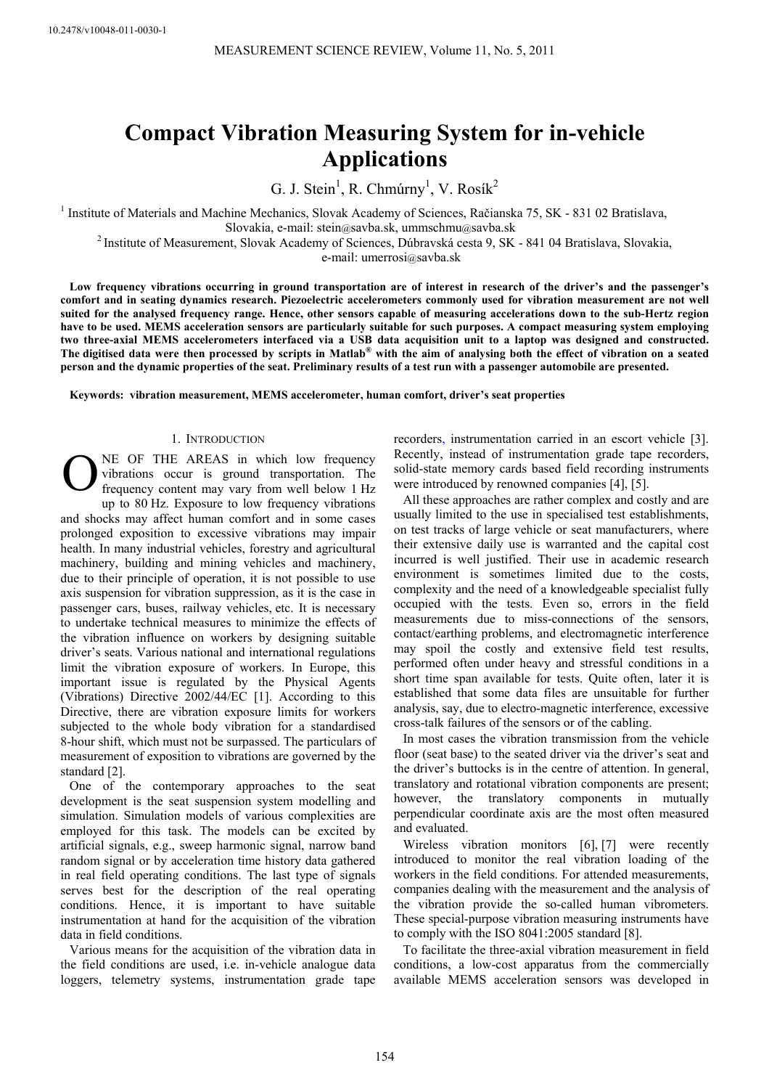# **Compact Vibration Measuring System for in-vehicle Applications**

G. J. Stein<sup>1</sup>, R. Chmúrny<sup>1</sup>, V. Rosík<sup>2</sup>

<sup>1</sup> Institute of Materials and Machine Mechanics, Slovak Academy of Sciences, Račianska 75, SK - 831 02 Bratislava,

Slovakia, e-mail: stein@savba.sk, ummschmu@savba.sk 2 Institute of Measurement, Slovak Academy of Sciences, Dúbravská cesta 9, SK - 841 04 Bratislava, Slovakia,

e-mail: umerrosi@savba.sk

**Low frequency vibrations occurring in ground transportation are of interest in research of the driver's and the passenger's comfort and in seating dynamics research. Piezoelectric accelerometers commonly used for vibration measurement are not well suited for the analysed frequency range. Hence, other sensors capable of measuring accelerations down to the sub-Hertz region have to be used. MEMS acceleration sensors are particularly suitable for such purposes. A compact measuring system employing two three-axial MEMS accelerometers interfaced via a USB data acquisition unit to a laptop was designed and constructed. The digitised data were then processed by scripts in Matlab® with the aim of analysing both the effect of vibration on a seated person and the dynamic properties of the seat. Preliminary results of a test run with a passenger automobile are presented.** 

**Keywords: vibration measurement, MEMS accelerometer, human comfort, driver's seat properties** 

## 1. INTRODUCTION

NE OF THE AREAS in which low frequency vibrations occur is ground transportation. The frequency content may vary from well below 1 Hz up to 80 Hz. Exposure to low frequency vibrations and shocks may affect human comfort and in some cases prolonged exposition to excessive vibrations may impair health. In many industrial vehicles, forestry and agricultural machinery, building and mining vehicles and machinery, due to their principle of operation, it is not possible to use axis suspension for vibration suppression, as it is the case in passenger cars, buses, railway vehicles, etc. It is necessary to undertake technical measures to minimize the effects of the vibration influence on workers by designing suitable driver's seats. Various national and international regulations limit the vibration exposure of workers. In Europe, this important issue is regulated by the Physical Agents (Vibrations) Directive 2002/44/EC [1]. According to this Directive, there are vibration exposure limits for workers subjected to the whole body vibration for a standardised 8-hour shift, which must not be surpassed. The particulars of measurement of exposition to vibrations are governed by the standard [2].  $\mathbf{O}^{\frac{N}{Vi}}_{\text{fric}}$ 

One of the contemporary approaches to the seat development is the seat suspension system modelling and simulation. Simulation models of various complexities are employed for this task. The models can be excited by artificial signals, e.g., sweep harmonic signal, narrow band random signal or by acceleration time history data gathered in real field operating conditions. The last type of signals serves best for the description of the real operating conditions. Hence, it is important to have suitable instrumentation at hand for the acquisition of the vibration data in field conditions.

Various means for the acquisition of the vibration data in the field conditions are used, i.e. in-vehicle analogue data loggers, telemetry systems, instrumentation grade tape recorders, instrumentation carried in an escort vehicle [3]. Recently, instead of instrumentation grade tape recorders, solid-state memory cards based field recording instruments were introduced by renowned companies [4], [5].

All these approaches are rather complex and costly and are usually limited to the use in specialised test establishments, on test tracks of large vehicle or seat manufacturers, where their extensive daily use is warranted and the capital cost incurred is well justified. Their use in academic research environment is sometimes limited due to the costs, complexity and the need of a knowledgeable specialist fully occupied with the tests. Even so, errors in the field measurements due to miss-connections of the sensors, contact/earthing problems, and electromagnetic interference may spoil the costly and extensive field test results, performed often under heavy and stressful conditions in a short time span available for tests. Quite often, later it is established that some data files are unsuitable for further analysis, say, due to electro-magnetic interference, excessive cross-talk failures of the sensors or of the cabling.

In most cases the vibration transmission from the vehicle floor (seat base) to the seated driver via the driver's seat and the driver's buttocks is in the centre of attention. In general, translatory and rotational vibration components are present; however, the translatory components in mutually perpendicular coordinate axis are the most often measured and evaluated.

Wireless vibration monitors [6], [7] were recently introduced to monitor the real vibration loading of the workers in the field conditions. For attended measurements, companies dealing with the measurement and the analysis of the vibration provide the so-called human vibrometers. These special-purpose vibration measuring instruments have to comply with the ISO 8041:2005 standard [8].

To facilitate the three-axial vibration measurement in field conditions, a low-cost apparatus from the commercially available MEMS acceleration sensors was developed in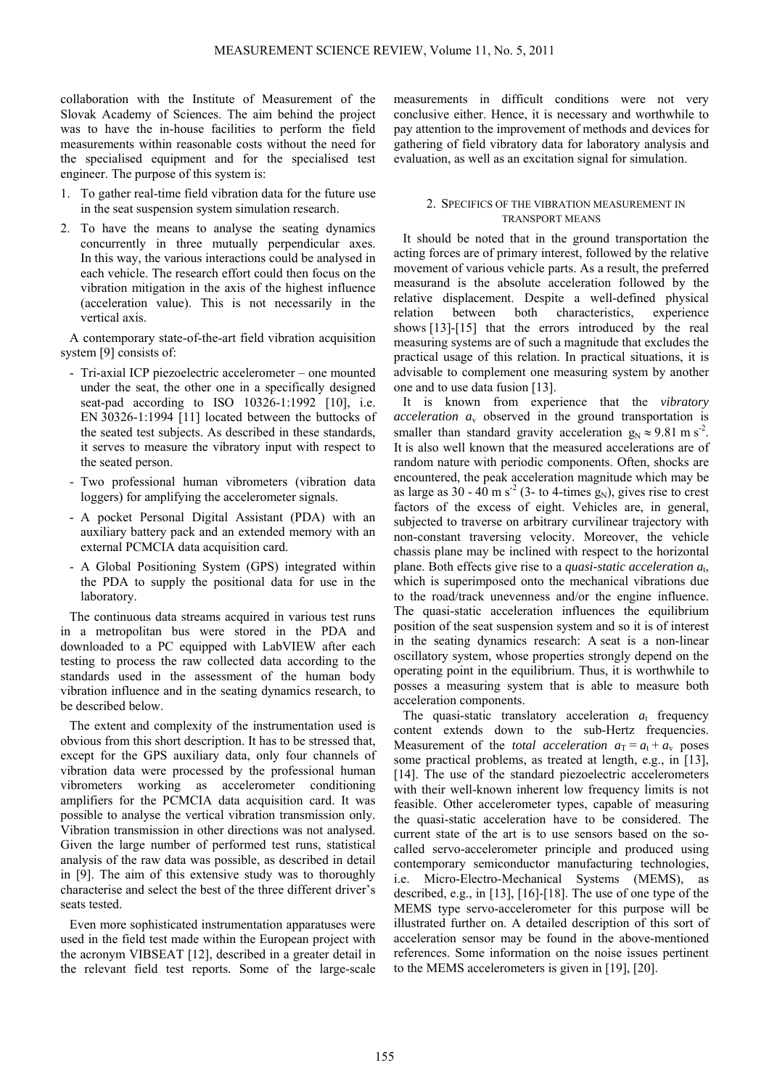collaboration with the Institute of Measurement of the Slovak Academy of Sciences. The aim behind the project was to have the in-house facilities to perform the field measurements within reasonable costs without the need for the specialised equipment and for the specialised test engineer. The purpose of this system is:

- 1. To gather real-time field vibration data for the future use in the seat suspension system simulation research.
- 2. To have the means to analyse the seating dynamics concurrently in three mutually perpendicular axes. In this way, the various interactions could be analysed in each vehicle. The research effort could then focus on the vibration mitigation in the axis of the highest influence (acceleration value). This is not necessarily in the vertical axis.

A contemporary state-of-the-art field vibration acquisition system [9] consists of:

- Tri-axial ICP piezoelectric accelerometer one mounted under the seat, the other one in a specifically designed seat-pad according to ISO 10326-1:1992 [10], i.e. EN 30326-1:1994 [11] located between the buttocks of the seated test subjects. As described in these standards, it serves to measure the vibratory input with respect to the seated person.
- Two professional human vibrometers (vibration data loggers) for amplifying the accelerometer signals.
- A pocket Personal Digital Assistant (PDA) with an auxiliary battery pack and an extended memory with an external PCMCIA data acquisition card.
- A Global Positioning System (GPS) integrated within the PDA to supply the positional data for use in the laboratory.

The continuous data streams acquired in various test runs in a metropolitan bus were stored in the PDA and downloaded to a PC equipped with LabVIEW after each testing to process the raw collected data according to the standards used in the assessment of the human body vibration influence and in the seating dynamics research, to be described below.

The extent and complexity of the instrumentation used is obvious from this short description. It has to be stressed that, except for the GPS auxiliary data, only four channels of vibration data were processed by the professional human vibrometers working as accelerometer conditioning amplifiers for the PCMCIA data acquisition card. It was possible to analyse the vertical vibration transmission only. Vibration transmission in other directions was not analysed. Given the large number of performed test runs, statistical analysis of the raw data was possible, as described in detail in [9]. The aim of this extensive study was to thoroughly characterise and select the best of the three different driver's seats tested.

Even more sophisticated instrumentation apparatuses were used in the field test made within the European project with the acronym VIBSEAT [12], described in a greater detail in the relevant field test reports. Some of the large-scale measurements in difficult conditions were not very conclusive either. Hence, it is necessary and worthwhile to pay attention to the improvement of methods and devices for gathering of field vibratory data for laboratory analysis and evaluation, as well as an excitation signal for simulation.

# 2. SPECIFICS OF THE VIBRATION MEASUREMENT IN TRANSPORT MEANS

It should be noted that in the ground transportation the acting forces are of primary interest, followed by the relative movement of various vehicle parts. As a result, the preferred measurand is the absolute acceleration followed by the relative displacement. Despite a well-defined physical relation between both characteristics, experience shows [13]-[15] that the errors introduced by the real measuring systems are of such a magnitude that excludes the practical usage of this relation. In practical situations, it is advisable to complement one measuring system by another one and to use data fusion [13].

It is known from experience that the *vibratory acceleration*  $a<sub>v</sub>$  observed in the ground transportation is smaller than standard gravity acceleration  $g_N \approx 9.81 \text{ m s}^2$ . It is also well known that the measured accelerations are of random nature with periodic components. Often, shocks are encountered, the peak acceleration magnitude which may be as large as  $30 - 40$  m s<sup>-2</sup> (3- to 4-times g<sub>N</sub>), gives rise to crest factors of the excess of eight. Vehicles are, in general, subjected to traverse on arbitrary curvilinear trajectory with non-constant traversing velocity. Moreover, the vehicle chassis plane may be inclined with respect to the horizontal plane. Both effects give rise to a *quasi-static acceleration a*t, which is superimposed onto the mechanical vibrations due to the road/track unevenness and/or the engine influence. The quasi-static acceleration influences the equilibrium position of the seat suspension system and so it is of interest in the seating dynamics research: A seat is a non-linear oscillatory system, whose properties strongly depend on the operating point in the equilibrium. Thus, it is worthwhile to posses a measuring system that is able to measure both acceleration components.

The quasi-static translatory acceleration  $a_t$  frequency content extends down to the sub-Hertz frequencies. Measurement of the *total acceleration*  $a_T = a_t + a_v$  poses some practical problems, as treated at length, e.g., in [13], [14]. The use of the standard piezoelectric accelerometers with their well-known inherent low frequency limits is not feasible. Other accelerometer types, capable of measuring the quasi-static acceleration have to be considered. The current state of the art is to use sensors based on the socalled servo-accelerometer principle and produced using contemporary semiconductor manufacturing technologies, i.e. Micro-Electro-Mechanical Systems (MEMS), as described, e.g., in [13], [16]-[18]. The use of one type of the MEMS type servo-accelerometer for this purpose will be illustrated further on. A detailed description of this sort of acceleration sensor may be found in the above-mentioned references. Some information on the noise issues pertinent to the MEMS accelerometers is given in [19], [20].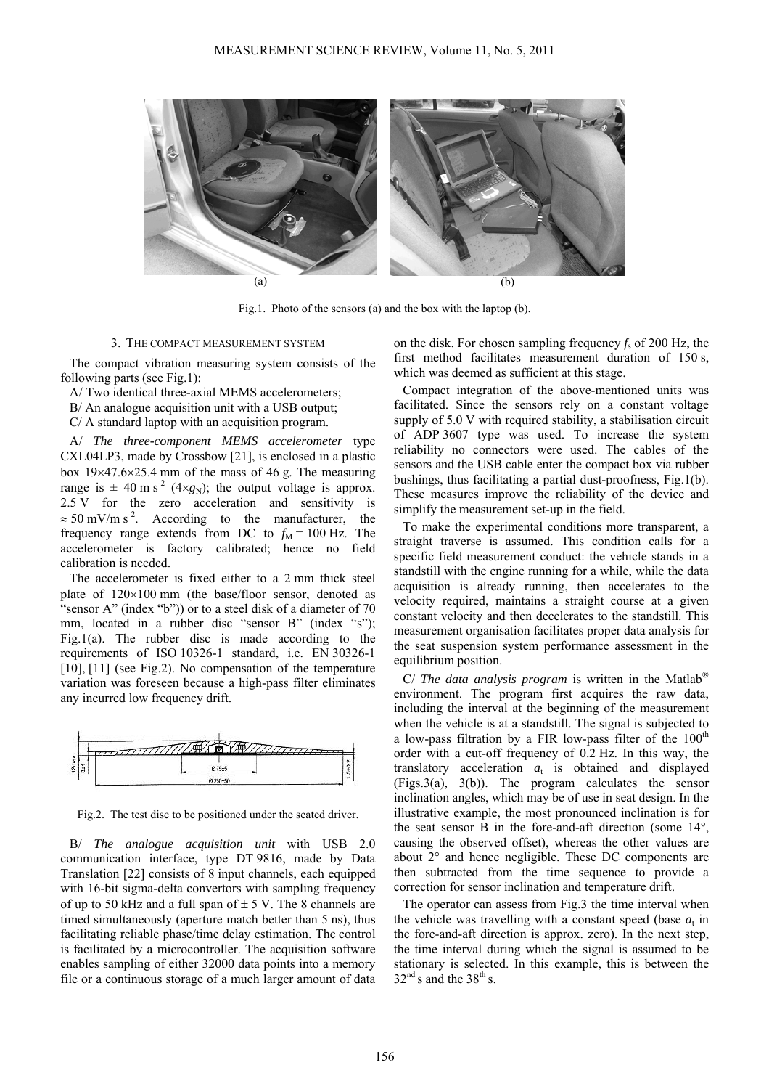

Fig.1. Photo of the sensors (a) and the box with the laptop (b).

#### 3. THE COMPACT MEASUREMENT SYSTEM

The compact vibration measuring system consists of the following parts (see Fig.1):

A/ Two identical three-axial MEMS accelerometers;

B/ An analogue acquisition unit with a USB output;

C/ A standard laptop with an acquisition program.

A/ *The three-component MEMS accelerometer* type CXL04LP3, made by Crossbow [21], is enclosed in a plastic box 19×47.6×25.4 mm of the mass of 46 g. The measuring range is  $\pm$  40 m s<sup>-2</sup> (4×*g*<sub>N</sub>); the output voltage is approx. 2.5 V for the zero acceleration and sensitivity is  $\approx$  50 mV/m s<sup>-2</sup>. According to the manufacturer, the frequency range extends from DC to  $f<sub>M</sub> = 100$  Hz. The accelerometer is factory calibrated; hence no field calibration is needed.

The accelerometer is fixed either to a 2 mm thick steel plate of 120×100 mm (the base/floor sensor, denoted as "sensor A" (index "b")) or to a steel disk of a diameter of 70 mm, located in a rubber disc "sensor B" (index "s"); Fig.1(a). The rubber disc is made according to the requirements of ISO 10326-1 standard, i.e. EN 30326-1 [10], [11] (see Fig.2). No compensation of the temperature variation was foreseen because a high-pass filter eliminates any incurred low frequency drift.



Fig.2. The test disc to be positioned under the seated driver.

B/ *The analogue acquisition unit* with USB 2.0 communication interface, type DT 9816, made by Data Translation [22] consists of 8 input channels, each equipped with 16-bit sigma-delta convertors with sampling frequency of up to 50 kHz and a full span of  $\pm$  5 V. The 8 channels are timed simultaneously (aperture match better than 5 ns), thus facilitating reliable phase/time delay estimation. The control is facilitated by a microcontroller. The acquisition software enables sampling of either 32000 data points into a memory file or a continuous storage of a much larger amount of data on the disk. For chosen sampling frequency *f*s of 200 Hz, the first method facilitates measurement duration of 150 s, which was deemed as sufficient at this stage.

Compact integration of the above-mentioned units was facilitated. Since the sensors rely on a constant voltage supply of 5.0 V with required stability, a stabilisation circuit of ADP 3607 type was used. To increase the system reliability no connectors were used. The cables of the sensors and the USB cable enter the compact box via rubber bushings, thus facilitating a partial dust-proofness, Fig.1(b). These measures improve the reliability of the device and simplify the measurement set-up in the field.

To make the experimental conditions more transparent, a straight traverse is assumed. This condition calls for a specific field measurement conduct: the vehicle stands in a standstill with the engine running for a while, while the data acquisition is already running, then accelerates to the velocity required, maintains a straight course at a given constant velocity and then decelerates to the standstill. This measurement organisation facilitates proper data analysis for the seat suspension system performance assessment in the equilibrium position.

C/ *The data analysis program* is written in the Matlab® environment. The program first acquires the raw data, including the interval at the beginning of the measurement when the vehicle is at a standstill. The signal is subjected to a low-pass filtration by a FIR low-pass filter of the  $100<sup>th</sup>$ order with a cut-off frequency of 0.2 Hz. In this way, the translatory acceleration  $a_t$  is obtained and displayed  $(Figs.3(a), 3(b))$ . The program calculates the sensor inclination angles, which may be of use in seat design. In the illustrative example, the most pronounced inclination is for the seat sensor B in the fore-and-aft direction (some 14°, causing the observed offset), whereas the other values are about 2° and hence negligible. These DC components are then subtracted from the time sequence to provide a correction for sensor inclination and temperature drift.

The operator can assess from Fig.3 the time interval when the vehicle was travelling with a constant speed (base  $a_t$  in the fore-and-aft direction is approx. zero). In the next step, the time interval during which the signal is assumed to be stationary is selected. In this example, this is between the  $32<sup>nd</sup>$  s and the 38<sup>th</sup> s.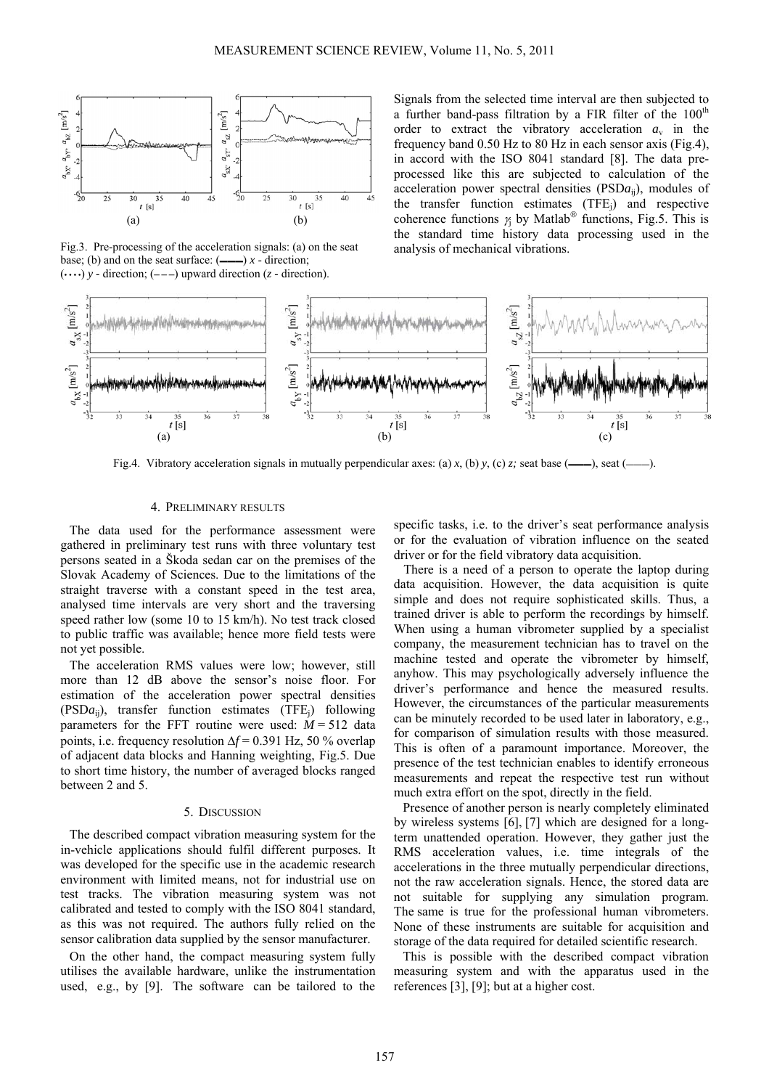

Fig.3. Pre-processing of the acceleration signals: (a) on the seat base; (b) and on the seat surface:  $($ —— $)$  *x* - direction;  $(\cdots)$  *y* - direction;  $(- - )$  upward direction (*z* - direction).

Signals from the selected time interval are then subjected to a further band-pass filtration by a FIR filter of the  $100<sup>th</sup>$ order to extract the vibratory acceleration  $a<sub>v</sub>$  in the frequency band 0.50 Hz to 80 Hz in each sensor axis (Fig.4), in accord with the ISO 8041 standard [8]. The data preprocessed like this are subjected to calculation of the acceleration power spectral densities (PSD*a*ij), modules of the transfer function estimates  $(TFE_i)$  and respective coherence functions  $\gamma_i$  by Matlab<sup>®</sup> functions, Fig.5. This is the standard time history data processing used in the analysis of mechanical vibrations.



Fig.4. Vibratory acceleration signals in mutually perpendicular axes: (a) *x*, (b) *y*, (c) *z*; seat base (——), seat (–

## 4. PRELIMINARY RESULTS

The data used for the performance assessment were gathered in preliminary test runs with three voluntary test persons seated in a Škoda sedan car on the premises of the Slovak Academy of Sciences. Due to the limitations of the straight traverse with a constant speed in the test area, analysed time intervals are very short and the traversing speed rather low (some 10 to 15 km/h). No test track closed to public traffic was available; hence more field tests were not yet possible.

The acceleration RMS values were low; however, still more than 12 dB above the sensor's noise floor. For estimation of the acceleration power spectral densities (PSD*a*ij), transfer function estimates (TFEj) following parameters for the FFT routine were used:  $M = 512$  data points, i.e. frequency resolution Δ*f* = 0.391 Hz, 50 % overlap of adjacent data blocks and Hanning weighting, Fig.5. Due to short time history, the number of averaged blocks ranged between 2 and 5.

#### 5. DISCUSSION

The described compact vibration measuring system for the in-vehicle applications should fulfil different purposes. It was developed for the specific use in the academic research environment with limited means, not for industrial use on test tracks. The vibration measuring system was not calibrated and tested to comply with the ISO 8041 standard, as this was not required. The authors fully relied on the sensor calibration data supplied by the sensor manufacturer.

On the other hand, the compact measuring system fully utilises the available hardware, unlike the instrumentation used, e.g., by [9]. The software can be tailored to the

specific tasks, i.e. to the driver's seat performance analysis or for the evaluation of vibration influence on the seated driver or for the field vibratory data acquisition.

 There is a need of a person to operate the laptop during data acquisition. However, the data acquisition is quite simple and does not require sophisticated skills. Thus, a trained driver is able to perform the recordings by himself. When using a human vibrometer supplied by a specialist company, the measurement technician has to travel on the machine tested and operate the vibrometer by himself, anyhow. This may psychologically adversely influence the driver's performance and hence the measured results. However, the circumstances of the particular measurements can be minutely recorded to be used later in laboratory, e.g., for comparison of simulation results with those measured. This is often of a paramount importance. Moreover, the presence of the test technician enables to identify erroneous measurements and repeat the respective test run without much extra effort on the spot, directly in the field.

Presence of another person is nearly completely eliminated by wireless systems [6], [7] which are designed for a longterm unattended operation. However, they gather just the RMS acceleration values, i.e. time integrals of the accelerations in the three mutually perpendicular directions, not the raw acceleration signals. Hence, the stored data are not suitable for supplying any simulation program. The same is true for the professional human vibrometers. None of these instruments are suitable for acquisition and storage of the data required for detailed scientific research.

This is possible with the described compact vibration measuring system and with the apparatus used in the references [3], [9]; but at a higher cost.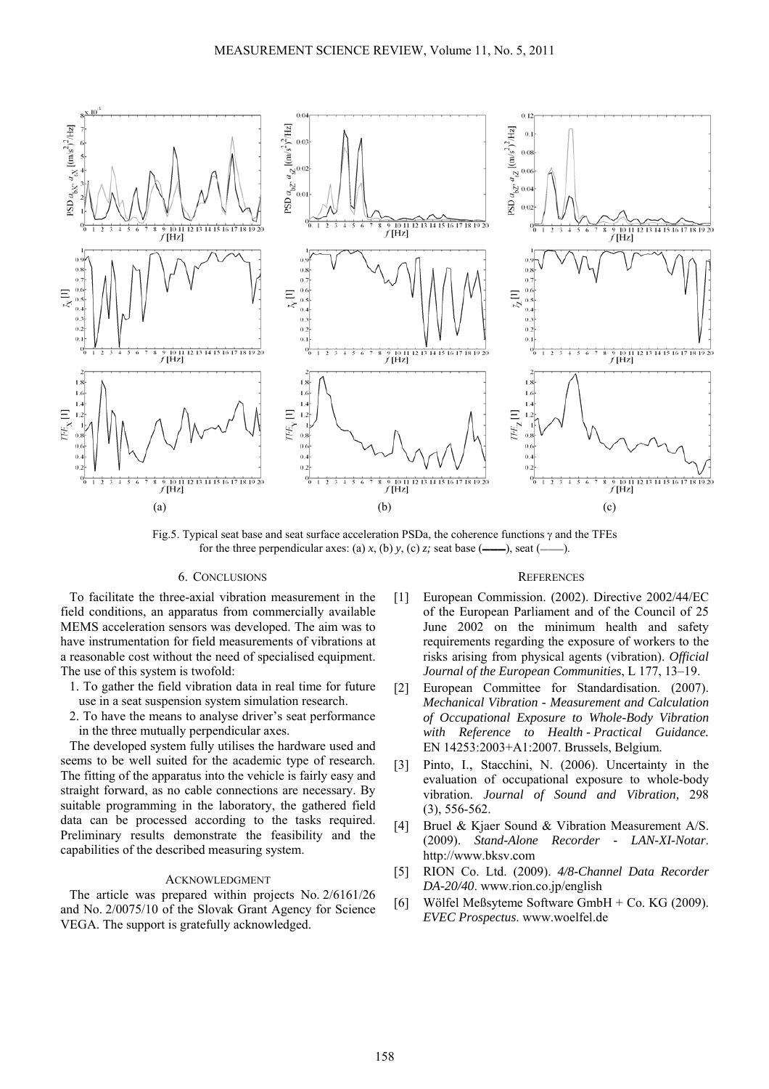

Fig.5. Typical seat base and seat surface acceleration PSDa, the coherence functions  $\gamma$  and the TFEs for the three perpendicular axes: (a)  $x$ , (b)  $y$ , (c)  $z$ ; seat base (——–), seat (

## 6. CONCLUSIONS

To facilitate the three-axial vibration measurement in the field conditions, an apparatus from commercially available MEMS acceleration sensors was developed. The aim was to have instrumentation for field measurements of vibrations at a reasonable cost without the need of specialised equipment. The use of this system is twofold:

- 1. To gather the field vibration data in real time for future use in a seat suspension system simulation research.
- 2. To have the means to analyse driver's seat performance in the three mutually perpendicular axes.

The developed system fully utilises the hardware used and seems to be well suited for the academic type of research. The fitting of the apparatus into the vehicle is fairly easy and straight forward, as no cable connections are necessary. By suitable programming in the laboratory, the gathered field data can be processed according to the tasks required. Preliminary results demonstrate the feasibility and the capabilities of the described measuring system.

## ACKNOWLEDGMENT

The article was prepared within projects No. 2/6161/26 and No. 2/0075/10 of the Slovak Grant Agency for Science VEGA. The support is gratefully acknowledged.

#### **REFERENCES**

- [1] European Commission. (2002). Directive 2002/44/EC of the European Parliament and of the Council of 25 June 2002 on the minimum health and safety requirements regarding the exposure of workers to the risks arising from physical agents (vibration). *Official Journal of the European Communities*, L 177, 13–19.
- [2] European Committee for Standardisation. (2007). *Mechanical Vibration - Measurement and Calculation of Occupational Exposure to Whole-Body Vibration with Reference to Health - Practical Guidance.* EN 14253:2003+A1:2007. Brussels, Belgium.
- [3] Pinto, I., Stacchini, N. (2006). Uncertainty in the evaluation of occupational exposure to whole-body vibration. *Journal of Sound and Vibration,* 298 (3), 556-562.
- [4] Bruel & Kjaer Sound & Vibration Measurement A/S. (2009). *Stand-Alone Recorder - LAN-XI-Notar*. http://www.bksv.com
- [5] RION Co. Ltd. (2009). *4/8-Channel Data Recorder DA-20/40*. www.rion.co.jp/english
- [6] Wölfel Meßsyteme Software GmbH + Co. KG (2009). *EVEC Prospectus*. www.woelfel.de